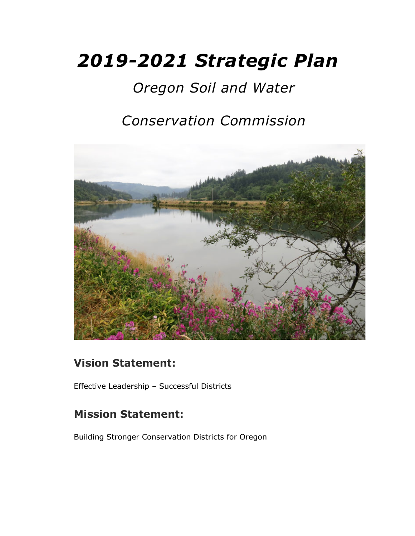# *2019-2021 Strategic Plan*

# *Oregon Soil and Water*

## *Conservation Commission*



### **Vision Statement:**

Effective Leadership – Successful Districts

### **Mission Statement:**

Building Stronger Conservation Districts for Oregon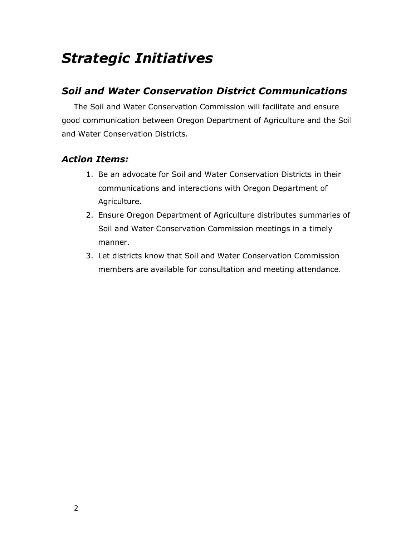# *Strategic Initiatives*

#### *Soil and Water Conservation District Communications*

The Soil and Water Conservation Commission will facilitate and ensure good communication between Oregon Department of Agriculture and the Soil and Water Conservation Districts.

- 1. Be an advocate for Soil and Water Conservation Districts in their communications and interactions with Oregon Department of Agriculture.
- 2. Ensure Oregon Department of Agriculture distributes summaries of Soil and Water Conservation Commission meetings in a timely manner.
- 3. Let districts know that Soil and Water Conservation Commission members are available for consultation and meeting attendance.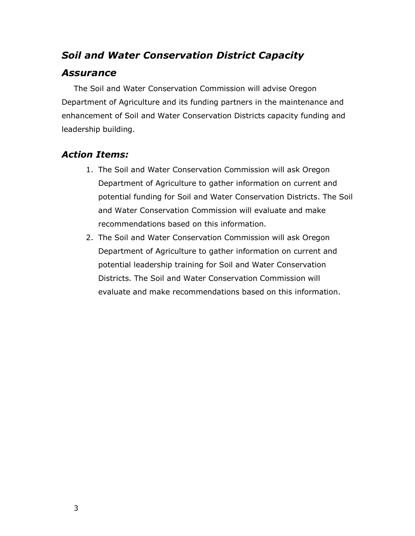### *Soil and Water Conservation District Capacity*

#### *Assurance*

The Soil and Water Conservation Commission will advise Oregon Department of Agriculture and its funding partners in the maintenance and enhancement of Soil and Water Conservation Districts capacity funding and leadership building.

- 1. The Soil and Water Conservation Commission will ask Oregon Department of Agriculture to gather information on current and potential funding for Soil and Water Conservation Districts. The Soil and Water Conservation Commission will evaluate and make recommendations based on this information.
- 2. The Soil and Water Conservation Commission will ask Oregon Department of Agriculture to gather information on current and potential leadership training for Soil and Water Conservation Districts. The Soil and Water Conservation Commission will evaluate and make recommendations based on this information.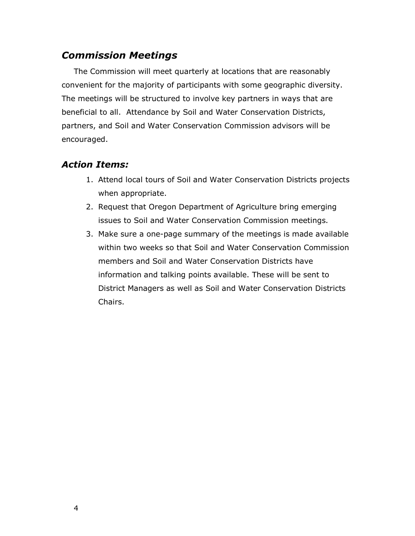#### *Commission Meetings*

The Commission will meet quarterly at locations that are reasonably convenient for the majority of participants with some geographic diversity. The meetings will be structured to involve key partners in ways that are beneficial to all. Attendance by Soil and Water Conservation Districts, partners, and Soil and Water Conservation Commission advisors will be encouraged.

- 1. Attend local tours of Soil and Water Conservation Districts projects when appropriate.
- 2. Request that Oregon Department of Agriculture bring emerging issues to Soil and Water Conservation Commission meetings.
- 3. Make sure a one-page summary of the meetings is made available within two weeks so that Soil and Water Conservation Commission members and Soil and Water Conservation Districts have information and talking points available. These will be sent to District Managers as well as Soil and Water Conservation Districts Chairs.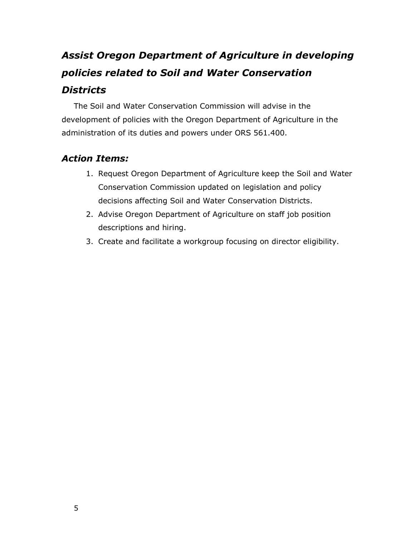### *Assist Oregon Department of Agriculture in developing policies related to Soil and Water Conservation Districts*

The Soil and Water Conservation Commission will advise in the development of policies with the Oregon Department of Agriculture in the administration of its duties and powers under ORS 561.400.

- 1. Request Oregon Department of Agriculture keep the Soil and Water Conservation Commission updated on legislation and policy decisions affecting Soil and Water Conservation Districts.
- 2. Advise Oregon Department of Agriculture on staff job position descriptions and hiring.
- 3. Create and facilitate a workgroup focusing on director eligibility.